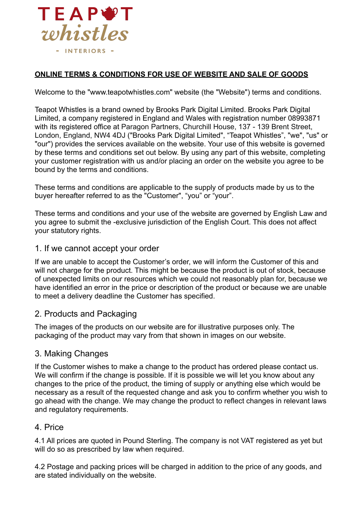

#### **ONLINE TERMS & CONDITIONS FOR USE OF WEBSITE AND SALE OF GOODS**

Welcome to the "www.teapotwhistles.com" website (the "Website") terms and conditions.

Teapot Whistles is a brand owned by Brooks Park Digital Limited. Brooks Park Digital Limited, a company registered in England and Wales with registration number 08993871 with its registered office at Paragon Partners, Churchill House, 137 - 139 Brent Street, London, England, NW4 4DJ ("Brooks Park Digital Limited", "Teapot Whistles", "we", "us" or "our") provides the services available on the website. Your use of this website is governed by these terms and conditions set out below. By using any part of this website, completing your customer registration with us and/or placing an order on the website you agree to be bound by the terms and conditions.

These terms and conditions are applicable to the supply of products made by us to the buyer hereafter referred to as the "Customer", "you" or "your".

These terms and conditions and your use of the website are governed by English Law and you agree to submit the -exclusive jurisdiction of the English Court. This does not affect your statutory rights.

#### 1. If we cannot accept your order

If we are unable to accept the Customer's order, we will inform the Customer of this and will not charge for the product. This might be because the product is out of stock, because of unexpected limits on our resources which we could not reasonably plan for, because we have identified an error in the price or description of the product or because we are unable to meet a delivery deadline the Customer has specified.

### 2. Products and Packaging

The images of the products on our website are for illustrative purposes only. The packaging of the product may vary from that shown in images on our website.

#### 3. Making Changes

If the Customer wishes to make a change to the product has ordered please contact us. We will confirm if the change is possible. If it is possible we will let you know about any changes to the price of the product, the timing of supply or anything else which would be necessary as a result of the requested change and ask you to confirm whether you wish to go ahead with the change. We may change the product to reflect changes in relevant laws and regulatory requirements.

#### 4. Price

4.1 All prices are quoted in Pound Sterling. The company is not VAT registered as yet but will do so as prescribed by law when required.

4.2 Postage and packing prices will be charged in addition to the price of any goods, and are stated individually on the website.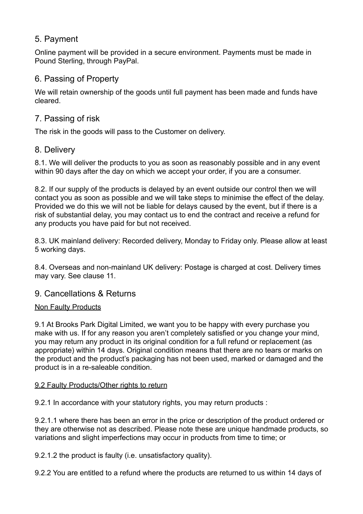# 5. Payment

Online payment will be provided in a secure environment. Payments must be made in Pound Sterling, through PayPal.

# 6. Passing of Property

We will retain ownership of the goods until full payment has been made and funds have cleared.

# 7. Passing of risk

The risk in the goods will pass to the Customer on delivery.

# 8. Delivery

8.1. We will deliver the products to you as soon as reasonably possible and in any event within 90 days after the day on which we accept your order, if you are a consumer.

8.2. If our supply of the products is delayed by an event outside our control then we will contact you as soon as possible and we will take steps to minimise the effect of the delay. Provided we do this we will not be liable for delays caused by the event, but if there is a risk of substantial delay, you may contact us to end the contract and receive a refund for any products you have paid for but not received.

8.3. UK mainland delivery: Recorded delivery, Monday to Friday only. Please allow at least 5 working days.

8.4. Overseas and non-mainland UK delivery: Postage is charged at cost. Delivery times may vary. See clause 11.

# 9. Cancellations & Returns

### Non Faulty Products

9.1 At Brooks Park Digital Limited, we want you to be happy with every purchase you make with us. If for any reason you aren't completely satisfied or you change your mind, you may return any product in its original condition for a full refund or replacement (as appropriate) within 14 days. Original condition means that there are no tears or marks on the product and the product's packaging has not been used, marked or damaged and the product is in a re-saleable condition.

### 9.2 Faulty Products/Other rights to return

9.2.1 In accordance with your statutory rights, you may return products :

9.2.1.1 where there has been an error in the price or description of the product ordered or they are otherwise not as described. Please note these are unique handmade products, so variations and slight imperfections may occur in products from time to time; or

9.2.1.2 the product is faulty (i.e. unsatisfactory quality).

9.2.2 You are entitled to a refund where the products are returned to us within 14 days of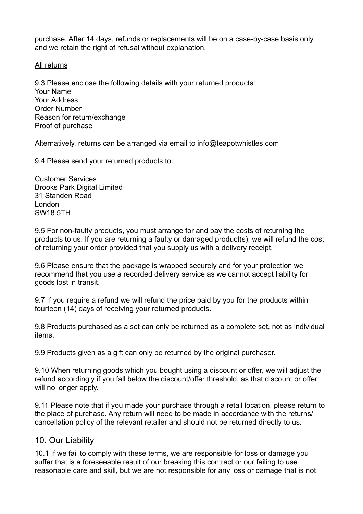purchase. After 14 days, refunds or replacements will be on a case-by-case basis only, and we retain the right of refusal without explanation.

#### All returns

9.3 Please enclose the following details with your returned products: Your Name Your Address Order Number Reason for return/exchange Proof of purchase

Alternatively, returns can be arranged via email to info@teapotwhistles.com

9.4 Please send your returned products to:

Customer Services Brooks Park Digital Limited 31 Standen Road London SW18 5TH

9.5 For non-faulty products, you must arrange for and pay the costs of returning the products to us. If you are returning a faulty or damaged product(s), we will refund the cost of returning your order provided that you supply us with a delivery receipt.

9.6 Please ensure that the package is wrapped securely and for your protection we recommend that you use a recorded delivery service as we cannot accept liability for goods lost in transit.

9.7 If you require a refund we will refund the price paid by you for the products within fourteen (14) days of receiving your returned products.

9.8 Products purchased as a set can only be returned as a complete set, not as individual items.

9.9 Products given as a gift can only be returned by the original purchaser.

9.10 When returning goods which you bought using a discount or offer, we will adjust the refund accordingly if you fall below the discount/offer threshold, as that discount or offer will no longer apply.

9.11 Please note that if you made your purchase through a retail location, please return to the place of purchase. Any return will need to be made in accordance with the returns/ cancellation policy of the relevant retailer and should not be returned directly to us.

### 10. Our Liability

10.1 If we fail to comply with these terms, we are responsible for loss or damage you suffer that is a foreseeable result of our breaking this contract or our failing to use reasonable care and skill, but we are not responsible for any loss or damage that is not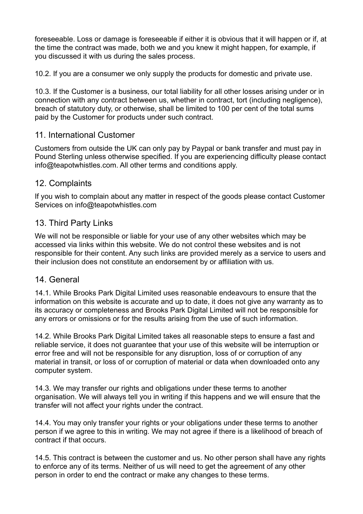foreseeable. Loss or damage is foreseeable if either it is obvious that it will happen or if, at the time the contract was made, both we and you knew it might happen, for example, if you discussed it with us during the sales process.

10.2. If you are a consumer we only supply the products for domestic and private use.

10.3. If the Customer is a business, our total liability for all other losses arising under or in connection with any contract between us, whether in contract, tort (including negligence), breach of statutory duty, or otherwise, shall be limited to 100 per cent of the total sums paid by the Customer for products under such contract.

## 11. International Customer

Customers from outside the UK can only pay by Paypal or bank transfer and must pay in Pound Sterling unless otherwise specified. If you are experiencing difficulty please contact info@teapotwhistles.com. All other terms and conditions apply.

## 12. Complaints

If you wish to complain about any matter in respect of the goods please contact Customer Services on info@teapotwhistles.com

## 13. Third Party Links

We will not be responsible or liable for your use of any other websites which may be accessed via links within this website. We do not control these websites and is not responsible for their content. Any such links are provided merely as a service to users and their inclusion does not constitute an endorsement by or affiliation with us.

### 14. General

14.1. While Brooks Park Digital Limited uses reasonable endeavours to ensure that the information on this website is accurate and up to date, it does not give any warranty as to its accuracy or completeness and Brooks Park Digital Limited will not be responsible for any errors or omissions or for the results arising from the use of such information.

14.2. While Brooks Park Digital Limited takes all reasonable steps to ensure a fast and reliable service, it does not guarantee that your use of this website will be interruption or error free and will not be responsible for any disruption, loss of or corruption of any material in transit, or loss of or corruption of material or data when downloaded onto any computer system.

14.3. We may transfer our rights and obligations under these terms to another organisation. We will always tell you in writing if this happens and we will ensure that the transfer will not affect your rights under the contract.

14.4. You may only transfer your rights or your obligations under these terms to another person if we agree to this in writing. We may not agree if there is a likelihood of breach of contract if that occurs.

14.5. This contract is between the customer and us. No other person shall have any rights to enforce any of its terms. Neither of us will need to get the agreement of any other person in order to end the contract or make any changes to these terms.